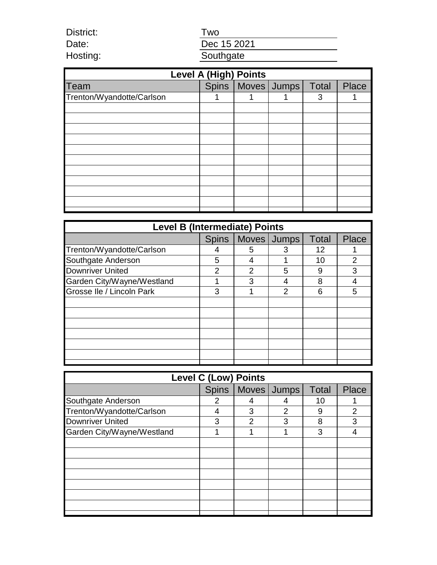Two

Date: Hosting:

District:

Dec 15 2021 **Southgate** 

| <b>Level A (High) Points</b> |  |                               |  |   |              |  |  |  |
|------------------------------|--|-------------------------------|--|---|--------------|--|--|--|
| Team                         |  | Spins   Moves   Jumps   Total |  |   | <b>Place</b> |  |  |  |
| Trenton/Wyandotte/Carlson    |  |                               |  | 3 |              |  |  |  |
|                              |  |                               |  |   |              |  |  |  |
|                              |  |                               |  |   |              |  |  |  |
|                              |  |                               |  |   |              |  |  |  |
|                              |  |                               |  |   |              |  |  |  |
|                              |  |                               |  |   |              |  |  |  |
|                              |  |                               |  |   |              |  |  |  |
|                              |  |                               |  |   |              |  |  |  |
|                              |  |                               |  |   |              |  |  |  |
|                              |  |                               |  |   |              |  |  |  |
|                              |  |                               |  |   |              |  |  |  |
|                              |  |                               |  |   |              |  |  |  |

| <b>Level B (Intermediate) Points</b> |              |   |             |              |                |  |  |
|--------------------------------------|--------------|---|-------------|--------------|----------------|--|--|
|                                      | <b>Spins</b> |   | Moves Jumps | <b>Total</b> | Place          |  |  |
| Trenton/Wyandotte/Carlson            |              | 5 | З           | 12           |                |  |  |
| Southgate Anderson                   | 5            |   |             | 10           | $\overline{2}$ |  |  |
| <b>Downriver United</b>              | 2            | 2 | 5           | 9            | 3              |  |  |
| Garden City/Wayne/Westland           |              | 3 |             | 8            |                |  |  |
| Grosse Ile / Lincoln Park            | 3            |   | 2           | 6            | 5              |  |  |
|                                      |              |   |             |              |                |  |  |
|                                      |              |   |             |              |                |  |  |
|                                      |              |   |             |              |                |  |  |
|                                      |              |   |             |              |                |  |  |
|                                      |              |   |             |              |                |  |  |
|                                      |              |   |             |              |                |  |  |
|                                      |              |   |             |              |                |  |  |

| <b>Level C (Low) Points</b> |              |                |               |              |              |  |  |
|-----------------------------|--------------|----------------|---------------|--------------|--------------|--|--|
|                             | <b>Spins</b> |                | Moves Jumps   | <b>Total</b> | <b>Place</b> |  |  |
| Southgate Anderson          | 2            | 4              |               | 10           |              |  |  |
| Trenton/Wyandotte/Carlson   |              | З              | $\mathcal{P}$ | 9            | 2            |  |  |
| <b>Downriver United</b>     | 3            | $\overline{2}$ | 3             | 8            | 3            |  |  |
| Garden City/Wayne/Westland  |              |                |               | 3            |              |  |  |
|                             |              |                |               |              |              |  |  |
|                             |              |                |               |              |              |  |  |
|                             |              |                |               |              |              |  |  |
|                             |              |                |               |              |              |  |  |
|                             |              |                |               |              |              |  |  |
|                             |              |                |               |              |              |  |  |
|                             |              |                |               |              |              |  |  |
|                             |              |                |               |              |              |  |  |